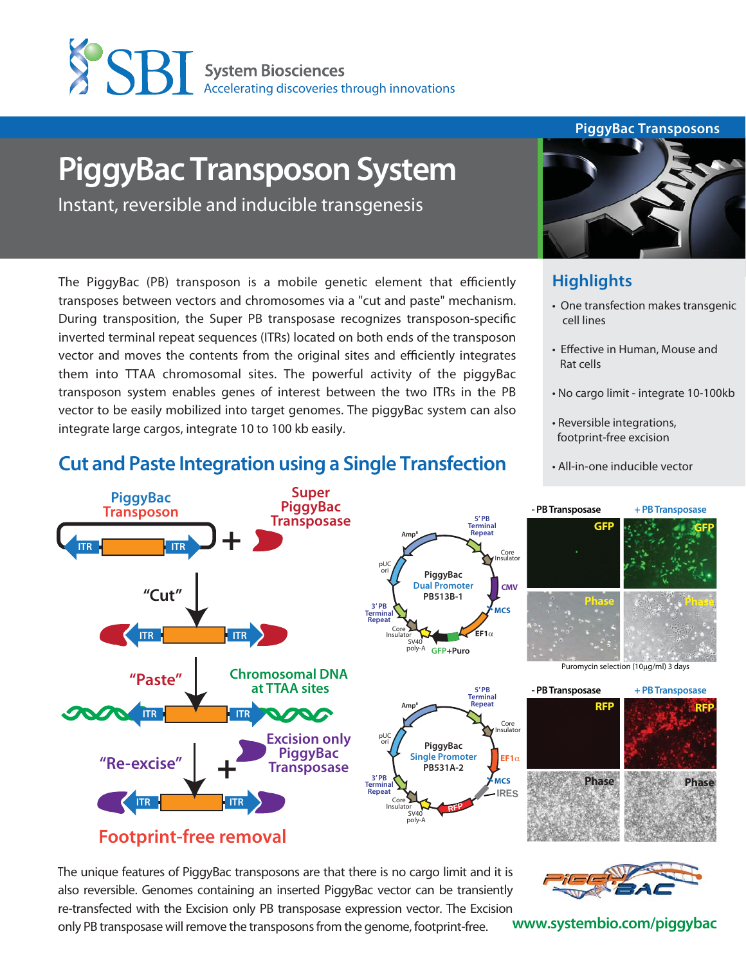

# **PiggyBac Transposon System**

Instant, reversible and inducible transgenesis

The PiggyBac (PB) transposon is a mobile genetic element that efficiently transposes between vectors and chromosomes via a "cut and paste" mechanism. During transposition, the Super PB transposase recognizes transposon-specific inverted terminal repeat sequences (ITRs) located on both ends of the transposon vector and moves the contents from the original sites and efficiently integrates them into TTAA chromosomal sites. The powerful activity of the piggyBac transposon system enables genes of interest between the two ITRs in the PB vector to be easily mobilized into target genomes. The piggyBac system can also integrate large cargos, integrate 10 to 100 kb easily.

#### **PiggyBac Transposons**



## **Highlights**

- One transfection makes transgenic cell lines
- Effective in Human, Mouse and Rat cells
- No cargo limit integrate 10-100kb
- Reversible integrations, footprint-free excision
- All-in-one inducible vector



# **Footprint-free removal**

The unique features of PiggyBac transposons are that there is no cargo limit and it is also reversible. Genomes containing an inserted PiggyBac vector can be transiently re-transfected with the Excision only PB transposase expression vector. The Excision

only PB transposase will remove the transposons from the genome, footprint-free.



**www.systembio.com/piggybac**

# **Cut and Paste Integration using a Single Transfection**